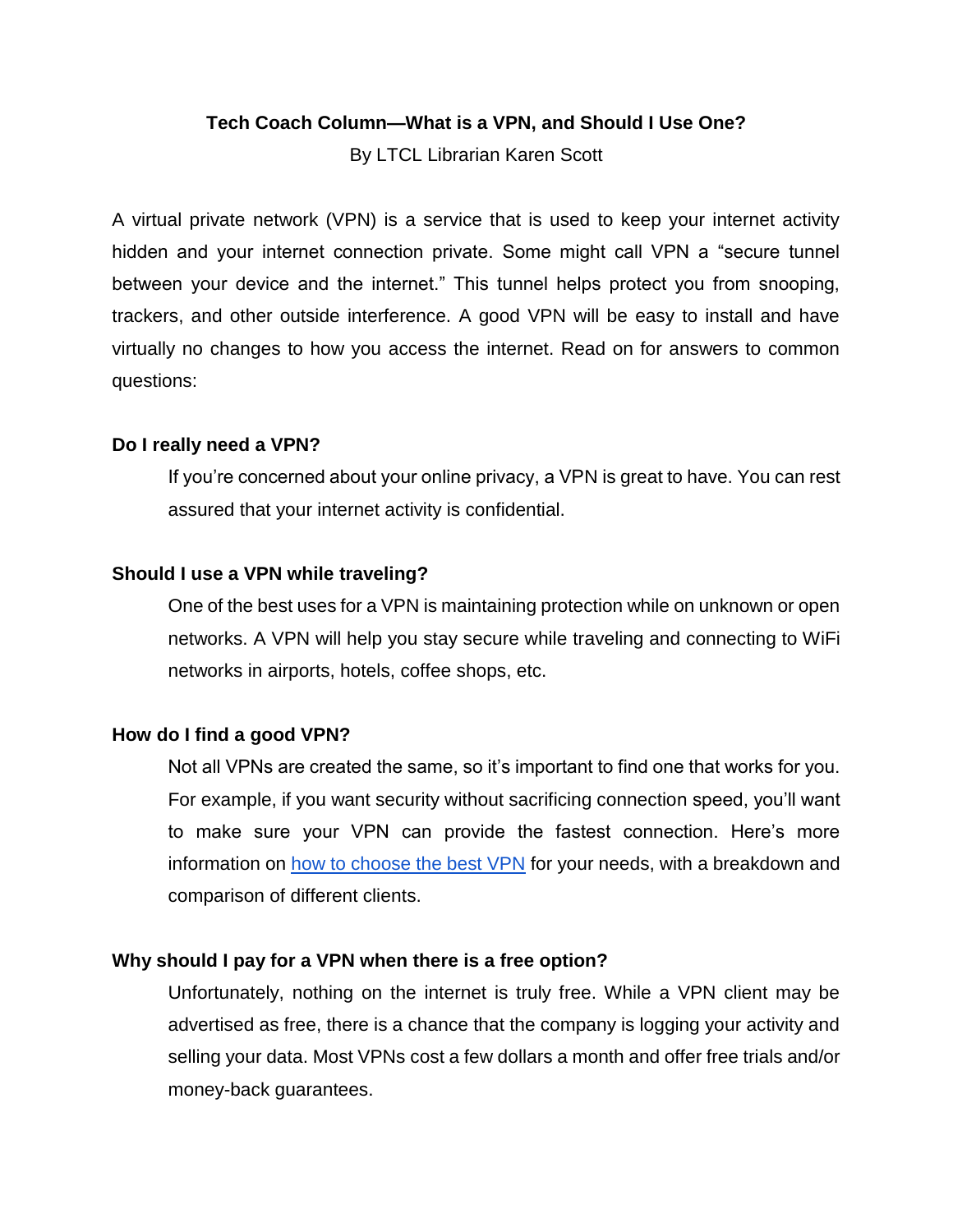#### **Tech Coach Column—What is a VPN, and Should I Use One?**

By LTCL Librarian Karen Scott

A virtual private network (VPN) is a service that is used to keep your internet activity hidden and your internet connection private. Some might call VPN a "secure tunnel between your device and the internet." This tunnel helps protect you from snooping, trackers, and other outside interference. A good VPN will be easy to install and have virtually no changes to how you access the internet. Read on for answers to common questions:

#### **Do I really need a VPN?**

If you're concerned about your online privacy, a VPN is great to have. You can rest assured that your internet activity is confidential.

## **Should I use a VPN while traveling?**

One of the best uses for a VPN is maintaining protection while on unknown or open networks. A VPN will help you stay secure while traveling and connecting to WiFi networks in airports, hotels, coffee shops, etc.

## **How do I find a good VPN?**

Not all VPNs are created the same, so it's important to find one that works for you. For example, if you want security without sacrificing connection speed, you'll want to make sure your VPN can provide the fastest connection. Here's more information on [how to choose the best VPN](https://www.techradar.com/vpn/best-vpn) for your needs, with a breakdown and comparison of different clients.

## **Why should I pay for a VPN when there is a free option?**

Unfortunately, nothing on the internet is truly free. While a VPN client may be advertised as free, there is a chance that the company is logging your activity and selling your data. Most VPNs cost a few dollars a month and offer free trials and/or money-back guarantees.